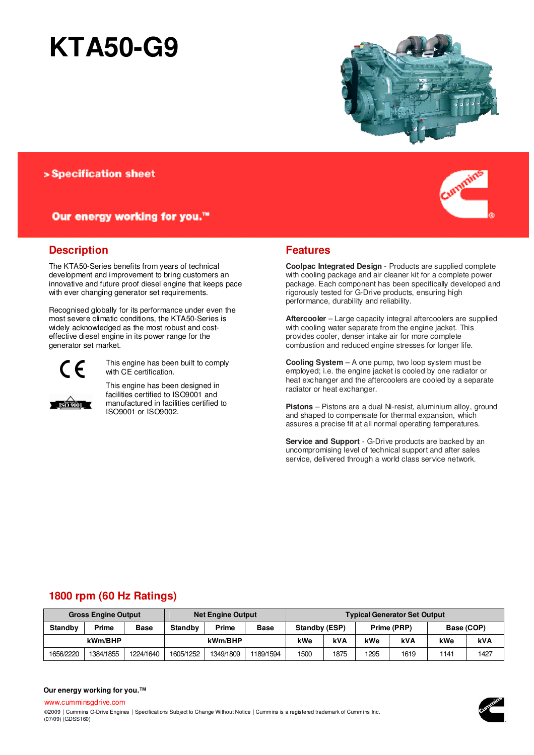# **KTA50-G9**



### > Specification sheet

#### Our energy working for you.™

#### **Description**

The KTA50-Series benefits from years of technical development and improvement to bring customers an innovative and future proof diesel engine that keeps pace with ever changing generator set requirements.

Recognised globally for its performance under even the most severe climatic conditions, the KTA50-Series is widely acknowledged as the most robust and costeffective diesel engine in its power range for the generator set market.



**ISO 9001** 

This engine has been built to comply with CE certification.

This engine has been designed in facilities certified to ISO9001 and manufactured in facilities certified to ISO9001 or ISO9002.



**Coolpac Integrated Design** - Products are supplied complete with cooling package and air cleaner kit for a complete power package. Each component has been specifically developed and rigorously tested for G-Drive products, ensuring high performance, durability and reliability.

**Aftercooler** – Large capacity integral aftercoolers are supplied with cooling water separate from the engine jacket. This provides cooler, denser intake air for more complete combustion and reduced engine stresses for longer life.

**Cooling System** – A one pump, two loop system must be employed; i.e. the engine jacket is cooled by one radiator or heat exchanger and the aftercoolers are cooled by a separate radiator or heat exchanger.

**Pistons** – Pistons are a dual Ni-resist, aluminium alloy, ground and shaped to compensate for thermal expansion, which assures a precise fit at all normal operating temperatures.

**Service and Support** - G-Drive products are backed by an uncompromising level of technical support and after sales service, delivered through a world class service network.

## **1800 rpm (60 Hz Ratings)**

| <b>Gross Engine Output</b> |           |             | <b>Net Engine Output</b> |           |             | <b>Typical Generator Set Output</b> |      |             |      |            |      |
|----------------------------|-----------|-------------|--------------------------|-----------|-------------|-------------------------------------|------|-------------|------|------------|------|
| <b>Standby</b>             | Prime     | <b>Base</b> | Standby                  | Prime     | <b>Base</b> | Standby (ESP)                       |      | Prime (PRP) |      | Base (COP) |      |
| kWm/BHP                    |           |             | kWm/BHP                  |           | kWe         | <b>kVA</b>                          | kWe  | kVA         | kWe  | <b>kVA</b> |      |
| 1656/2220                  | 1384/1855 | 1224/1640   | 1605/1252                | 1349/1809 | 1189/1594   | 1500                                | 1875 | 1295        | 1619 | 1141       | 1427 |

#### **Our energy working for you.™**